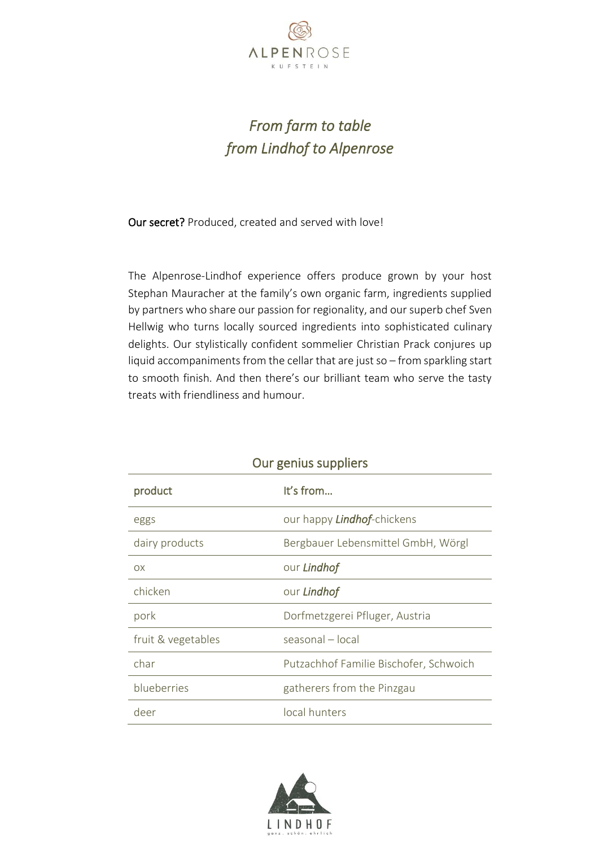

## *From farm to table from Lindhof to Alpenrose*

Our secret? Produced, created and served with love!

The Alpenrose-Lindhof experience offers produce grown by your host Stephan Mauracher at the family's own organic farm, ingredients supplied by partners who share our passion for regionality, and our superb chef Sven Hellwig who turns locally sourced ingredients into sophisticated culinary delights. Our stylistically confident sommelier Christian Prack conjures up liquid accompaniments from the cellar that are just so – from sparkling start to smooth finish. And then there's our brilliant team who serve the tasty treats with friendliness and humour.

| Our genius suppliers                   |  |  |
|----------------------------------------|--|--|
| It's from                              |  |  |
| our happy <b>Lindhof-</b> chickens     |  |  |
| Bergbauer Lebensmittel GmbH, Wörgl     |  |  |
| our Lindhof                            |  |  |
| our Lindhof                            |  |  |
| Dorfmetzgerei Pfluger, Austria         |  |  |
| seasonal – local                       |  |  |
| Putzachhof Familie Bischofer, Schwoich |  |  |
| gatherers from the Pinzgau             |  |  |
| local hunters                          |  |  |
|                                        |  |  |

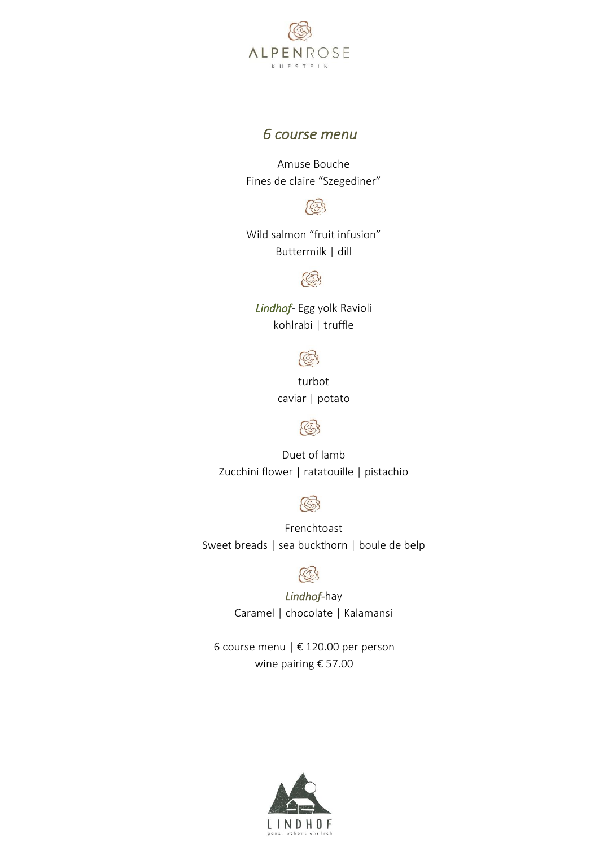

## *6 course menu*

Amuse Bouche Fines de claire "Szegediner"



Wild salmon "fruit infusion" Buttermilk | dill



*Lindhof*- Egg yolk Ravioli kohlrabi | truffle

 $\mathbb{C}$ 

turbot caviar | potato



Duet of lamb Zucchini flower | ratatouille | pistachio



Frenchtoast Sweet breads | sea buckthorn | boule de belp



*Lindhof-*hay Caramel | chocolate | Kalamansi

6 course menu | € 120.00 per person wine pairing € 57.00

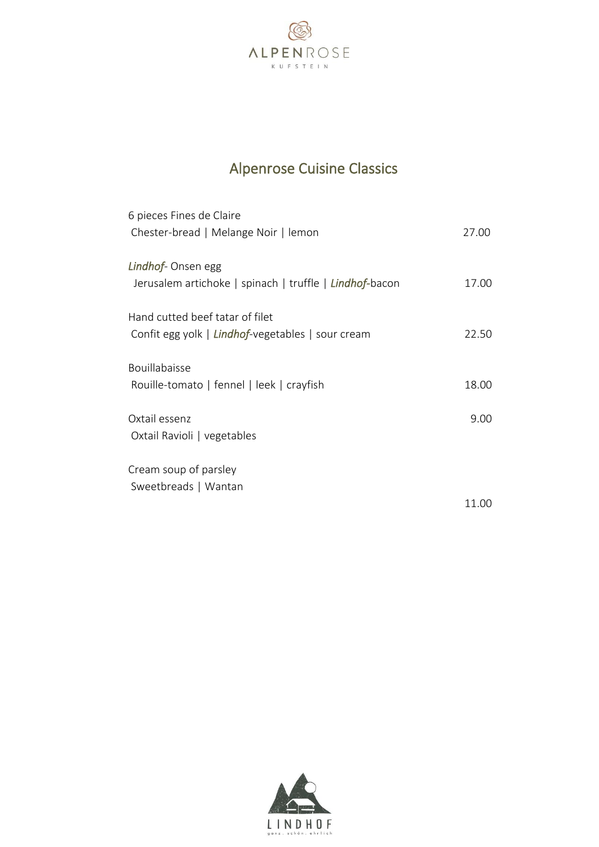

## Alpenrose Cuisine Classics

| 6 pieces Fines de Claire                                |       |
|---------------------------------------------------------|-------|
| Chester-bread   Melange Noir   lemon                    | 27.00 |
| Lindhof- Onsen egg                                      |       |
| Jerusalem artichoke   spinach   truffle   Lindhof-bacon | 17.00 |
| Hand cutted beef tatar of filet                         |       |
| Confit egg yolk   Lindhof-vegetables   sour cream       | 22.50 |
| <b>Bouillabaisse</b>                                    |       |
| Rouille-tomato   fennel   leek   crayfish               | 18.00 |
| Oxtail essenz                                           | 9.00  |
| Oxtail Ravioli   vegetables                             |       |
| Cream soup of parsley                                   |       |
| Sweetbreads   Wantan                                    |       |
|                                                         | 11.00 |